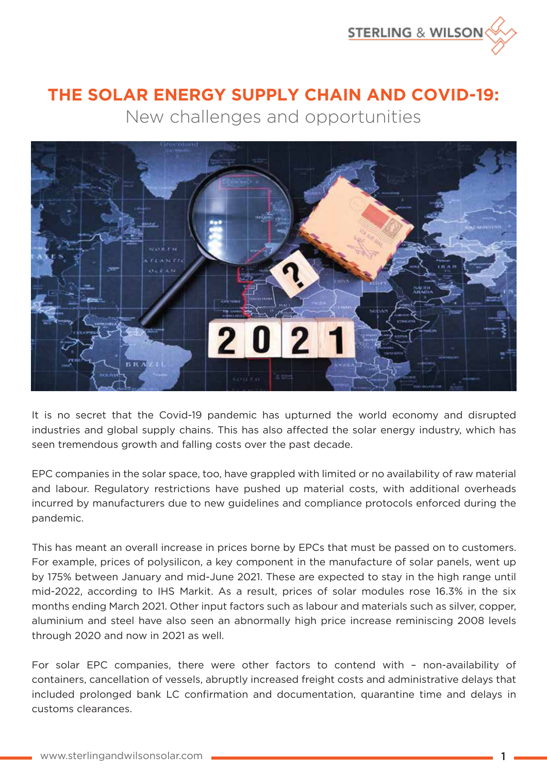

## **THE SOLAR ENERGY SUPPLY CHAIN AND COVID-19:** New challenges and opportunities



It is no secret that the Covid-19 pandemic has upturned the world economy and disrupted industries and global supply chains. This has also affected the solar energy industry, which has seen tremendous growth and falling costs over the past decade.

EPC companies in the solar space, too, have grappled with limited or no availability of raw material and labour. Regulatory restrictions have pushed up material costs, with additional overheads incurred by manufacturers due to new guidelines and compliance protocols enforced during the pandemic.

This has meant an overall increase in prices borne by EPCs that must be passed on to customers. For example, prices of polysilicon, a key component in the manufacture of solar panels, went up by 175% between January and mid-June 2021. These are expected to stay in the high range until mid-2022, according to IHS Markit. As a result, prices of solar modules rose 16.3% in the six months ending March 2021. Other input factors such as labour and materials such as silver, copper, aluminium and steel have also seen an abnormally high price increase reminiscing 2008 levels through 2020 and now in 2021 as well.

For solar EPC companies, there were other factors to contend with – non-availability of containers, cancellation of vessels, abruptly increased freight costs and administrative delays that included prolonged bank LC confirmation and documentation, quarantine time and delays in customs clearances.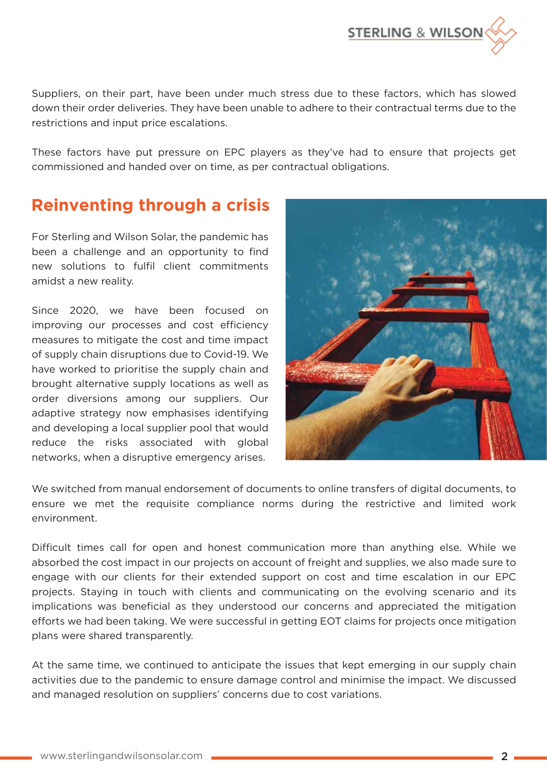

Suppliers, on their part, have been under much stress due to these factors, which has slowed down their order deliveries. They have been unable to adhere to their contractual terms due to the restrictions and input price escalations.

These factors have put pressure on EPC players as they've had to ensure that projects get commissioned and handed over on time, as per contractual obligations.

## **Reinventing through a crisis**

For Sterling and Wilson Solar, the pandemic has been a challenge and an opportunity to find new solutions to fulfil client commitments amidst a new reality.

Since 2020, we have been focused on improving our processes and cost efficiency measures to mitigate the cost and time impact of supply chain disruptions due to Covid-19. We have worked to prioritise the supply chain and brought alternative supply locations as well as order diversions among our suppliers. Our adaptive strategy now emphasises identifying and developing a local supplier pool that would reduce the risks associated with global networks, when a disruptive emergency arises.



We switched from manual endorsement of documents to online transfers of digital documents, to ensure we met the requisite compliance norms during the restrictive and limited work environment.

Difficult times call for open and honest communication more than anything else. While we absorbed the cost impact in our projects on account of freight and supplies, we also made sure to engage with our clients for their extended support on cost and time escalation in our EPC projects. Staying in touch with clients and communicating on the evolving scenario and its implications was beneficial as they understood our concerns and appreciated the mitigation efforts we had been taking. We were successful in getting EOT claims for projects once mitigation plans were shared transparently.

At the same time, we continued to anticipate the issues that kept emerging in our supply chain activities due to the pandemic to ensure damage control and minimise the impact. We discussed and managed resolution on suppliers' concerns due to cost variations.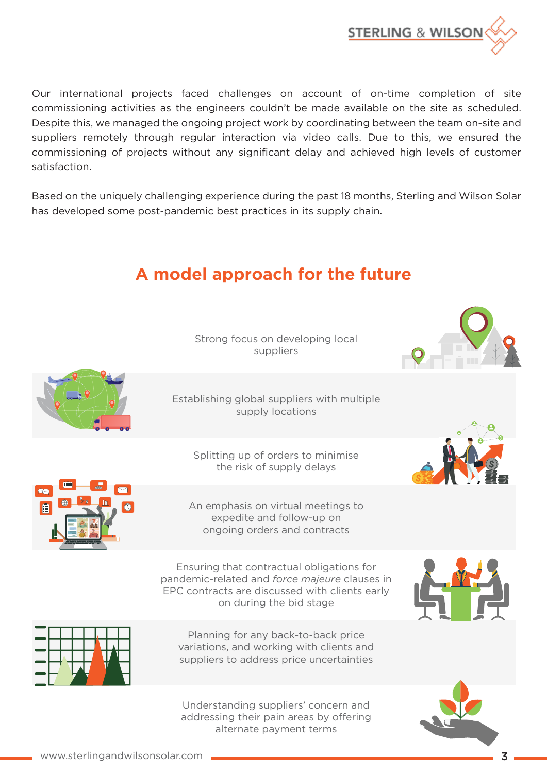

Our international projects faced challenges on account of on-time completion of site commissioning activities as the engineers couldn't be made available on the site as scheduled. Despite this, we managed the ongoing project work by coordinating between the team on-site and suppliers remotely through regular interaction via video calls. Due to this, we ensured the commissioning of projects without any significant delay and achieved high levels of customer satisfaction.

Based on the uniquely challenging experience during the past 18 months, Sterling and Wilson Solar has developed some post-pandemic best practices in its supply chain.

## **A model approach for the future**

Strong focus on developing local suppliers

Establishing global suppliers with multiple supply locations

Splitting up of orders to minimise the risk of supply delays





An emphasis on virtual meetings to expedite and follow-up on ongoing orders and contracts

Ensuring that contractual obligations for pandemic-related and *force majeure* clauses in EPC contracts are discussed with clients early on during the bid stage





Planning for any back-to-back price variations, and working with clients and suppliers to address price uncertainties

Understanding suppliers' concern and addressing their pain areas by offering alternate payment terms



www.sterlingandwilsonsolar.com